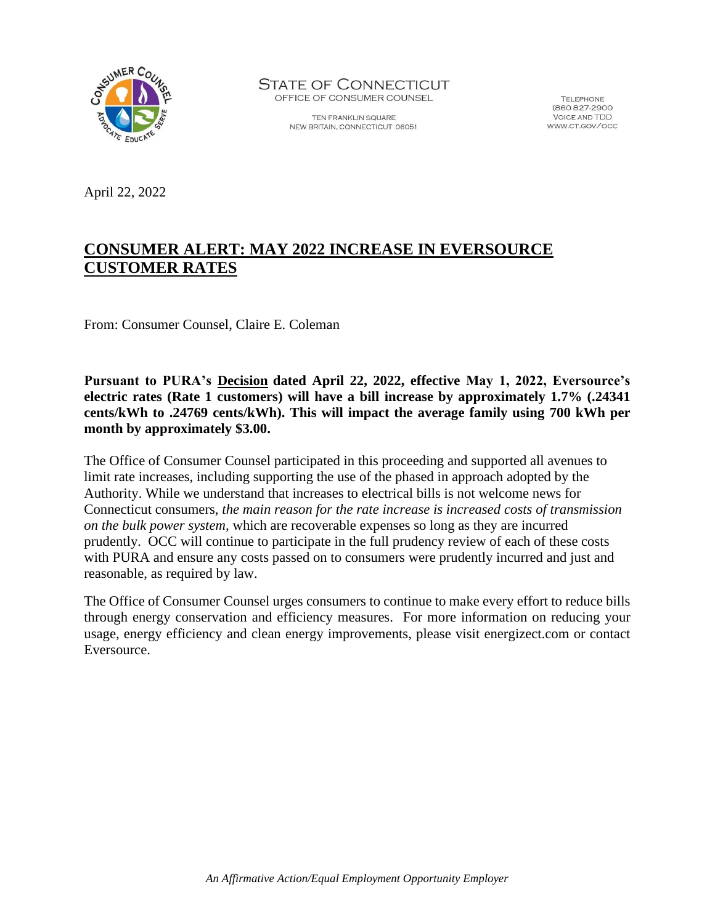

**STATE OF CONNECTICUT** OFFICE OF CONSUMER COUNSEL

> TEN FRANKLIN SQUARE NEW BRITAIN, CONNECTICUT 06051

**TELEPHONE** (860 827-2900 **VOICE AND TDD** WWW.CT.GOV/OCC

April 22, 2022

# **CONSUMER ALERT: MAY 2022 INCREASE IN EVERSOURCE CUSTOMER RATES**

From: Consumer Counsel, Claire E. Coleman

**Pursuant to PURA's [Decision](http://www.dpuc.state.ct.us/dockcurr.nsf/4b3c728dd1c0d642852586db0069aa70/72e473405f717d988525882c006d1081/$FILE/22-01-03%20Motion%20No.%208%20Ruling.pdf) dated April 22, 2022, effective May 1, 2022, Eversource's electric rates (Rate 1 customers) will have a bill increase by approximately 1.7% (.24341 cents/kWh to .24769 cents/kWh). This will impact the average family using 700 kWh per month by approximately \$3.00.**

The Office of Consumer Counsel participated in this proceeding and supported all avenues to limit rate increases, including supporting the use of the phased in approach adopted by the Authority. While we understand that increases to electrical bills is not welcome news for Connecticut consumers, *the main reason for the rate increase is increased costs of transmission on the bulk power system,* which are recoverable expenses so long as they are incurred prudently. OCC will continue to participate in the full prudency review of each of these costs with PURA and ensure any costs passed on to consumers were prudently incurred and just and reasonable, as required by law.

The Office of Consumer Counsel urges consumers to continue to make every effort to reduce bills through energy conservation and efficiency measures. For more information on reducing your usage, energy efficiency and clean energy improvements, please visit energizect.com or contact Eversource.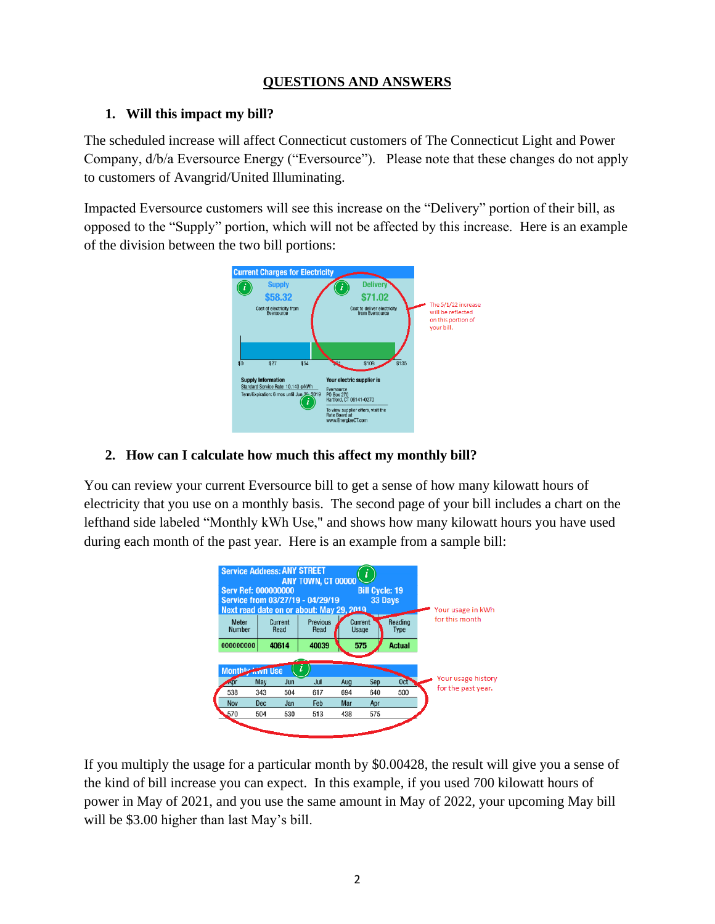## **QUESTIONS AND ANSWERS**

### **1. Will this impact my bill?**

The scheduled increase will affect Connecticut customers of The Connecticut Light and Power Company, d/b/a Eversource Energy ("Eversource"). Please note that these changes do not apply to customers of Avangrid/United Illuminating.

Impacted Eversource customers will see this increase on the "Delivery" portion of their bill, as opposed to the "Supply" portion, which will not be affected by this increase. Here is an example of the division between the two bill portions:



## **2. How can I calculate how much this affect my monthly bill?**

You can review your current Eversource bill to get a sense of how many kilowatt hours of electricity that you use on a monthly basis. The second page of your bill includes a chart on the lefthand side labeled "Monthly kWh Use," and shows how many kilowatt hours you have used during each month of the past year. Here is an example from a sample bill:

| <b>Service Address: ANY STREET</b><br>ANY TOWN, CT 00000<br><b>Serv Ref: 000000000</b><br><b>Bill Cycle: 19</b><br>Service from 03/27/19 - 04/29/19<br>33 Days<br>Next read date on or about: May 29, 2019. |     |                 |                         |     |                  |                        |  | Your usage in kWh  |
|-------------------------------------------------------------------------------------------------------------------------------------------------------------------------------------------------------------|-----|-----------------|-------------------------|-----|------------------|------------------------|--|--------------------|
| Meter<br>Number                                                                                                                                                                                             |     | Current<br>Read | <b>Previous</b><br>Read |     | Current<br>Usage | Reading<br><b>Type</b> |  | for this month     |
| 000000000                                                                                                                                                                                                   |     | 40614           | 40039                   |     | 575              | <b>Actual</b>          |  |                    |
|                                                                                                                                                                                                             |     |                 |                         |     |                  |                        |  |                    |
| <b>Monthly Avvn Use</b>                                                                                                                                                                                     |     |                 |                         |     |                  |                        |  | Your usage history |
| Apr                                                                                                                                                                                                         | May | Jun             | Jul                     | Aug | Sep              | 0 <sub>ct</sub>        |  | for the past year. |
| 538                                                                                                                                                                                                         | 343 | 504             | 617                     | 694 | 640              | 500                    |  |                    |
| Nov                                                                                                                                                                                                         | Dec | Jan             | Feb                     | Mar | Apr              |                        |  |                    |
| 570                                                                                                                                                                                                         | 504 | 530             | 513                     | 438 | 575              |                        |  |                    |
|                                                                                                                                                                                                             |     |                 |                         |     |                  |                        |  |                    |

If you multiply the usage for a particular month by \$0.00428, the result will give you a sense of the kind of bill increase you can expect. In this example, if you used 700 kilowatt hours of power in May of 2021, and you use the same amount in May of 2022, your upcoming May bill will be \$3.00 higher than last May's bill.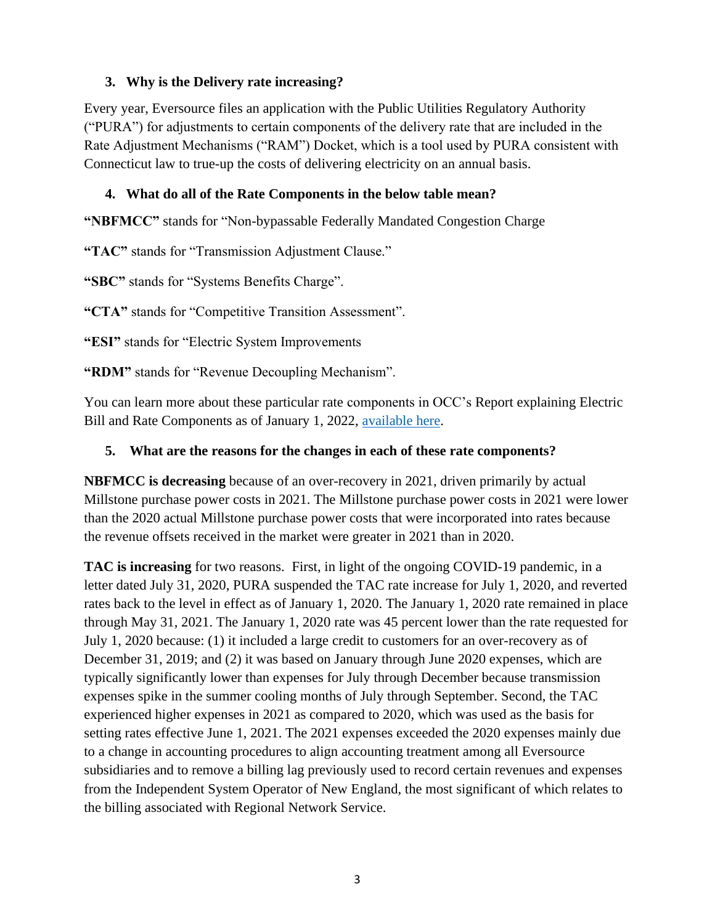### **3. Why is the Delivery rate increasing?**

Every year, Eversource files an application with the Public Utilities Regulatory Authority ("PURA") for adjustments to certain components of the delivery rate that are included in the Rate Adjustment Mechanisms ("RAM") Docket, which is a tool used by PURA consistent with Connecticut law to true-up the costs of delivering electricity on an annual basis.

### **4. What do all of the Rate Components in the below table mean?**

**"NBFMCC"** stands for "Non-bypassable Federally Mandated Congestion Charge

**"TAC"** stands for "Transmission Adjustment Clause."

**"SBC"** stands for "Systems Benefits Charge".

**"CTA"** stands for "Competitive Transition Assessment".

**"ESI"** stands for "Electric System Improvements

**"RDM"** stands for "Revenue Decoupling Mechanism".

You can learn more about these particular rate components in OCC's Report explaining Electric Bill and Rate Components as of January 1, 2022, [available here.](https://portal.ct.gov/-/media/OCC/01012022-Electric-Bill-Components-Final-122721.pdf)

### **5. What are the reasons for the changes in each of these rate components?**

**NBFMCC is decreasing** because of an over-recovery in 2021, driven primarily by actual Millstone purchase power costs in 2021. The Millstone purchase power costs in 2021 were lower than the 2020 actual Millstone purchase power costs that were incorporated into rates because the revenue offsets received in the market were greater in 2021 than in 2020.

**TAC is increasing** for two reasons. First, in light of the ongoing COVID-19 pandemic, in a letter dated July 31, 2020, PURA suspended the TAC rate increase for July 1, 2020, and reverted rates back to the level in effect as of January 1, 2020. The January 1, 2020 rate remained in place through May 31, 2021. The January 1, 2020 rate was 45 percent lower than the rate requested for July 1, 2020 because: (1) it included a large credit to customers for an over-recovery as of December 31, 2019; and (2) it was based on January through June 2020 expenses, which are typically significantly lower than expenses for July through December because transmission expenses spike in the summer cooling months of July through September. Second, the TAC experienced higher expenses in 2021 as compared to 2020, which was used as the basis for setting rates effective June 1, 2021. The 2021 expenses exceeded the 2020 expenses mainly due to a change in accounting procedures to align accounting treatment among all Eversource subsidiaries and to remove a billing lag previously used to record certain revenues and expenses from the Independent System Operator of New England, the most significant of which relates to the billing associated with Regional Network Service.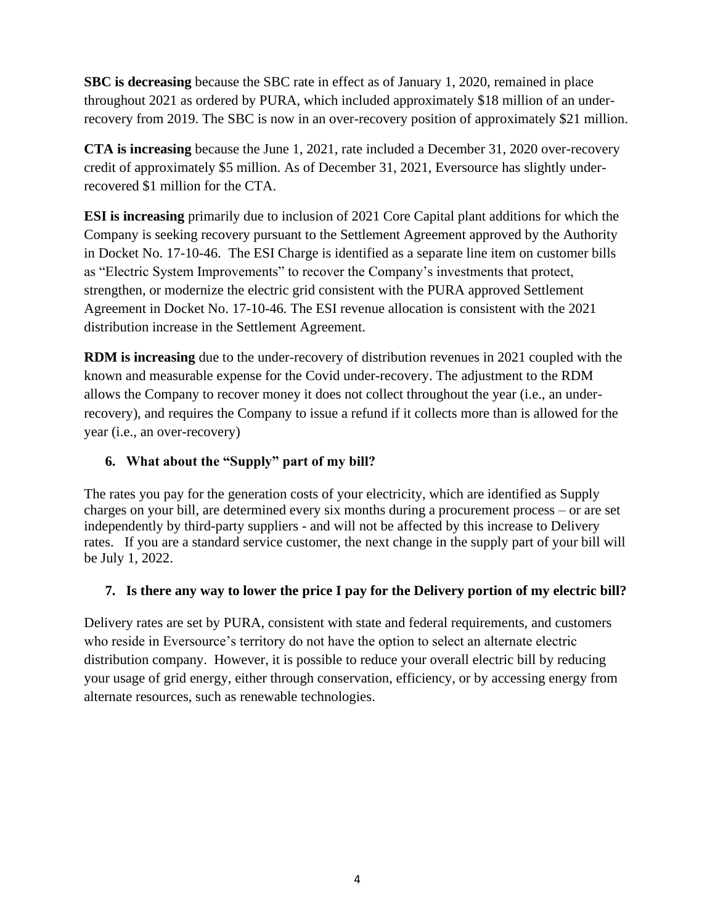**SBC is decreasing** because the SBC rate in effect as of January 1, 2020, remained in place throughout 2021 as ordered by PURA, which included approximately \$18 million of an underrecovery from 2019. The SBC is now in an over-recovery position of approximately \$21 million.

**CTA is increasing** because the June 1, 2021, rate included a December 31, 2020 over-recovery credit of approximately \$5 million. As of December 31, 2021, Eversource has slightly underrecovered \$1 million for the CTA.

**ESI is increasing** primarily due to inclusion of 2021 Core Capital plant additions for which the Company is seeking recovery pursuant to the Settlement Agreement approved by the Authority in Docket No. 17-10-46. The ESI Charge is identified as a separate line item on customer bills as "Electric System Improvements" to recover the Company's investments that protect, strengthen, or modernize the electric grid consistent with the PURA approved Settlement Agreement in Docket No. 17-10-46*.* The ESI revenue allocation is consistent with the 2021 distribution increase in the Settlement Agreement.

**RDM is increasing** due to the under-recovery of distribution revenues in 2021 coupled with the known and measurable expense for the Covid under-recovery. The adjustment to the RDM allows the Company to recover money it does not collect throughout the year (i.e., an underrecovery), and requires the Company to issue a refund if it collects more than is allowed for the year (i.e., an over-recovery)

## **6. What about the "Supply" part of my bill?**

The rates you pay for the generation costs of your electricity, which are identified as Supply charges on your bill, are determined every six months during a procurement process – or are set independently by third-party suppliers - and will not be affected by this increase to Delivery rates. If you are a standard service customer, the next change in the supply part of your bill will be July 1, 2022.

## **7. Is there any way to lower the price I pay for the Delivery portion of my electric bill?**

Delivery rates are set by PURA, consistent with state and federal requirements, and customers who reside in Eversource's territory do not have the option to select an alternate electric distribution company. However, it is possible to reduce your overall electric bill by reducing your usage of grid energy, either through conservation, efficiency, or by accessing energy from alternate resources, such as renewable technologies.